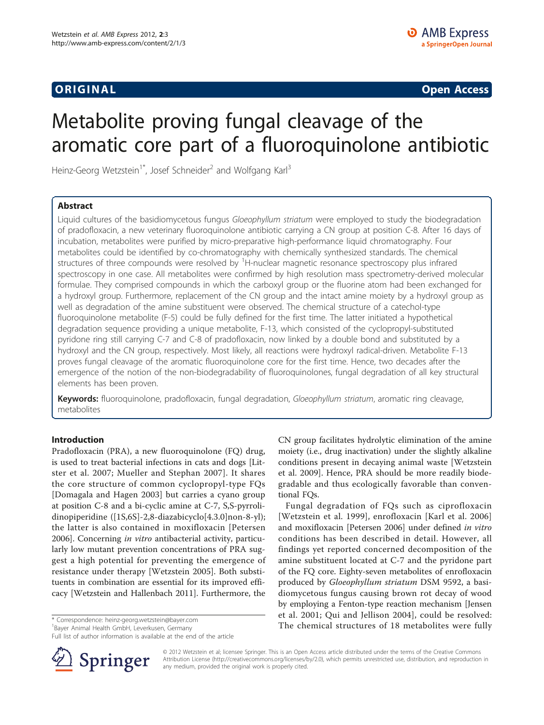ORIGINA L Open Access

# Metabolite proving fungal cleavage of the aromatic core part of a fluoroquinolone antibiotic

Heinz-Georg Wetzstein<sup>1\*</sup>, Josef Schneider<sup>2</sup> and Wolfgang Karl<sup>3</sup>

# Abstract

Liquid cultures of the basidiomycetous fungus Gloeophyllum striatum were employed to study the biodegradation of pradofloxacin, a new veterinary fluoroquinolone antibiotic carrying a CN group at position C-8. After 16 days of incubation, metabolites were purified by micro-preparative high-performance liquid chromatography. Four metabolites could be identified by co-chromatography with chemically synthesized standards. The chemical structures of three compounds were resolved by <sup>1</sup>H-nuclear magnetic resonance spectroscopy plus infrared spectroscopy in one case. All metabolites were confirmed by high resolution mass spectrometry-derived molecular formulae. They comprised compounds in which the carboxyl group or the fluorine atom had been exchanged for a hydroxyl group. Furthermore, replacement of the CN group and the intact amine moiety by a hydroxyl group as well as degradation of the amine substituent were observed. The chemical structure of a catechol-type fluoroquinolone metabolite (F-5) could be fully defined for the first time. The latter initiated a hypothetical degradation sequence providing a unique metabolite, F-13, which consisted of the cyclopropyl-substituted pyridone ring still carrying C-7 and C-8 of pradofloxacin, now linked by a double bond and substituted by a hydroxyl and the CN group, respectively. Most likely, all reactions were hydroxyl radical-driven. Metabolite F-13 proves fungal cleavage of the aromatic fluoroquinolone core for the first time. Hence, two decades after the emergence of the notion of the non-biodegradability of fluoroquinolones, fungal degradation of all key structural elements has been proven.

Keywords: fluoroquinolone, pradofloxacin, fungal degradation, Gloeophyllum striatum, aromatic ring cleavage, metabolites

# Introduction

Pradofloxacin (PRA), a new fluoroquinolone (FQ) drug, is used to treat bacterial infections in cats and dogs [[Lit](#page-6-0)[ster et al. 2007](#page-6-0); [Mueller and Stephan 2007\]](#page-6-0). It shares the core structure of common cyclopropyl-type FQs [[Domagala and Hagen 2003\]](#page-6-0) but carries a cyano group at position C-8 and a bi-cyclic amine at C-7, S,S-pyrrolidinopiperidine ([1S,6S]-2,8-diazabicyclo[4.3.0]non-8-yl); the latter is also contained in moxifloxacin [[Petersen](#page-6-0) [2006](#page-6-0)]. Concerning in vitro antibacterial activity, particularly low mutant prevention concentrations of PRA suggest a high potential for preventing the emergence of resistance under therapy [[Wetzstein 2005\]](#page-6-0). Both substituents in combination are essential for its improved efficacy [[Wetzstein and Hallenbach 2011\]](#page-6-0). Furthermore, the

1 Bayer Animal Health GmbH, Leverkusen, Germany

Full list of author information is available at the end of the article



CN group facilitates hydrolytic elimination of the amine moiety (i.e., drug inactivation) under the slightly alkaline conditions present in decaying animal waste [[Wetzstein](#page-6-0) [et al. 2009\]](#page-6-0). Hence, PRA should be more readily biodegradable and thus ecologically favorable than conventional FQs.

Fungal degradation of FQs such as ciprofloxacin [[Wetzstein et al. 1999\]](#page-6-0), enrofloxacin [[Karl et al. 2006](#page-6-0)] and moxifloxacin [[Petersen 2006\]](#page-6-0) under defined in vitro conditions has been described in detail. However, all findings yet reported concerned decomposition of the amine substituent located at C-7 and the pyridone part of the FQ core. Eighty-seven metabolites of enrofloxacin produced by Gloeophyllum striatum DSM 9592, a basidiomycetous fungus causing brown rot decay of wood by employing a Fenton-type reaction mechanism [\[Jensen](#page-6-0) [et al. 2001](#page-6-0); [Qui and Jellison 2004\]](#page-6-0), could be resolved: \* Correspondence: [heinz-georg.wetzstein@bayer.com](mailto:heinz-georg.wetzstein@bayer.com) example of the chemical structures of 18 metabolites were fully the chemical structures of 18 metabolites were fully

> © 2012 Wetzstein et al; licensee Springer. This is an Open Access article distributed under the terms of the Creative Commons Attribution License [\(http://creativecommons.org/licenses/by/2.0](http://creativecommons.org/licenses/by/2.0)), which permits unrestricted use, distribution, and reproduction in any medium, provided the original work is properly cited.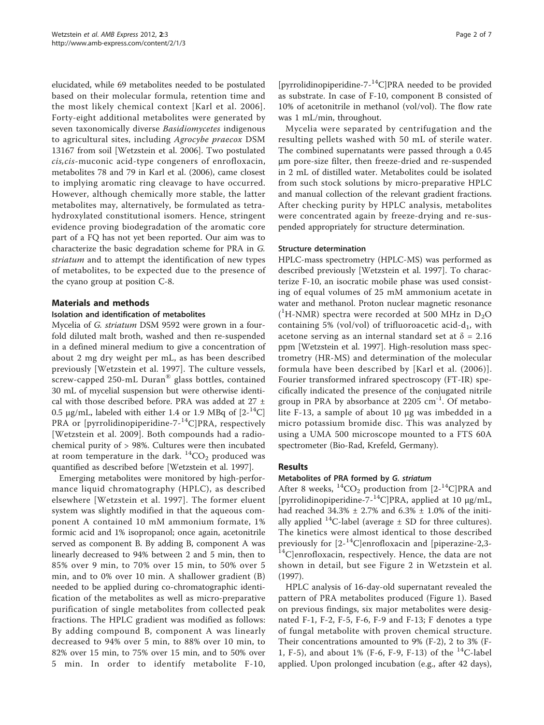elucidated, while 69 metabolites needed to be postulated based on their molecular formula, retention time and the most likely chemical context [[Karl et al. 2006\]](#page-6-0). Forty-eight additional metabolites were generated by seven taxonomically diverse Basidiomycetes indigenous to agricultural sites, including Agrocybe praecox DSM 13167 from soil [[Wetzstein et al. 2006](#page-6-0)]. Two postulated cis,cis-muconic acid-type congeners of enrofloxacin, metabolites 78 and 79 in [Karl et al. \(2006\)](#page-6-0), came closest to implying aromatic ring cleavage to have occurred. However, although chemically more stable, the latter metabolites may, alternatively, be formulated as tetrahydroxylated constitutional isomers. Hence, stringent evidence proving biodegradation of the aromatic core part of a FQ has not yet been reported. Our aim was to characterize the basic degradation scheme for PRA in G. striatum and to attempt the identification of new types of metabolites, to be expected due to the presence of the cyano group at position C-8.

# Materials and methods

# Isolation and identification of metabolites

Mycelia of G. striatum DSM 9592 were grown in a fourfold diluted malt broth, washed and then re-suspended in a defined mineral medium to give a concentration of about 2 mg dry weight per mL, as has been described previously [[Wetzstein et al. 1997](#page-6-0)]. The culture vessels, screw-capped 250-mL Duran® glass bottles, contained 30 mL of mycelial suspension but were otherwise identical with those described before. PRA was added at 27 ± 0.5 μg/mL, labeled with either 1.4 or 1.9 MBq of  $[2^{-14}C]$ PRA or [pyrrolidinopiperidine- $7-14$ °C]PRA, respectively [[Wetzstein et al. 2009\]](#page-6-0). Both compounds had a radiochemical purity of > 98%. Cultures were then incubated at room temperature in the dark.  ${}^{14}CO_2$  produced was quantified as described before [[Wetzstein et al. 1997\]](#page-6-0).

Emerging metabolites were monitored by high-performance liquid chromatography (HPLC), as described elsewhere [\[Wetzstein et al. 1997](#page-6-0)]. The former eluent system was slightly modified in that the aqueous component A contained 10 mM ammonium formate, 1% formic acid and 1% isopropanol; once again, acetonitrile served as component B. By adding B, component A was linearly decreased to 94% between 2 and 5 min, then to 85% over 9 min, to 70% over 15 min, to 50% over 5 min, and to 0% over 10 min. A shallower gradient (B) needed to be applied during co-chromatographic identification of the metabolites as well as micro-preparative purification of single metabolites from collected peak fractions. The HPLC gradient was modified as follows: By adding compound B, component A was linearly decreased to 94% over 5 min, to 88% over 10 min, to 82% over 15 min, to 75% over 15 min, and to 50% over 5 min. In order to identify metabolite F-10,

[pyrrolidinopiperidine-7-14C]PRA needed to be provided as substrate. In case of F-10, component B consisted of 10% of acetonitrile in methanol (vol/vol). The flow rate was 1 mL/min, throughout.

Mycelia were separated by centrifugation and the resulting pellets washed with 50 mL of sterile water. The combined supernatants were passed through a 0.45 μm pore-size filter, then freeze-dried and re-suspended in 2 mL of distilled water. Metabolites could be isolated from such stock solutions by micro-preparative HPLC and manual collection of the relevant gradient fractions. After checking purity by HPLC analysis, metabolites were concentrated again by freeze-drying and re-suspended appropriately for structure determination.

## Structure determination

HPLC-mass spectrometry (HPLC-MS) was performed as described previously [[Wetzstein et al. 1997](#page-6-0)]. To characterize F-10, an isocratic mobile phase was used consisting of equal volumes of 25 mM ammonium acetate in water and methanol. Proton nuclear magnetic resonance ( ${}^{1}$ H-NMR) spectra were recorded at 500 MHz in D<sub>2</sub>O containing 5% (vol/vol) of trifluoroacetic acid-d<sub>1</sub>, with acetone serving as an internal standard set at  $\delta = 2.16$ ppm [[Wetzstein et al. 1997](#page-6-0)]. High-resolution mass spectrometry (HR-MS) and determination of the molecular formula have been described by [[Karl et al. \(2006\)\]](#page-6-0). Fourier transformed infrared spectroscopy (FT-IR) specifically indicated the presence of the conjugated nitrile group in PRA by absorbance at  $2205 \text{ cm}^{-1}$ . Of metabolite F-13, a sample of about 10 μg was imbedded in a micro potassium bromide disc. This was analyzed by using a UMA 500 microscope mounted to a FTS 60A spectrometer (Bio-Rad, Krefeld, Germany).

# Results

## Metabolites of PRA formed by G. striatum

After 8 weeks,  ${}^{14}CO_2$  production from [2- ${}^{14}Cl$ PRA and [pyrrolidinopiperidine- $7-14$ C]PRA, applied at 10  $\mu$ g/mL, had reached  $34.3\% \pm 2.7\%$  and  $6.3\% \pm 1.0\%$  of the initially applied <sup>14</sup>C-label (average  $\pm$  SD for three cultures). The kinetics were almost identical to those described previously for  $[2^{-14}C]$ enrofloxacin and [piperazine-2,3- $^{14}C$ ]enrofloxacin, respectively. Hence, the data are not shown in detail, but see Figure 2 in [Wetzstein et al.](#page-6-0) [\(1997\).](#page-6-0)

HPLC analysis of 16-day-old supernatant revealed the pattern of PRA metabolites produced (Figure [1](#page-2-0)). Based on previous findings, six major metabolites were designated F-1, F-2, F-5, F-6, F-9 and F-13; F denotes a type of fungal metabolite with proven chemical structure. Their concentrations amounted to 9% (F-2), 2 to 3% (F-1, F-5), and about 1% (F-6, F-9, F-13) of the <sup>14</sup>C-label applied. Upon prolonged incubation (e.g., after 42 days),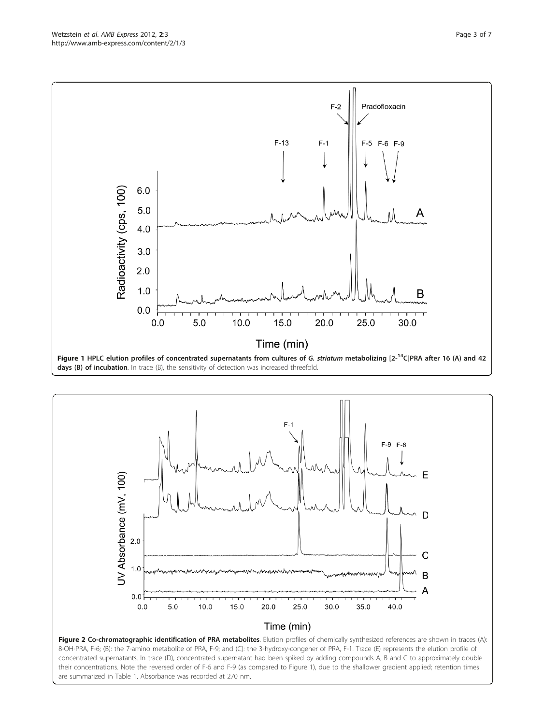<span id="page-2-0"></span>



are summarized in Table 1. Absorbance was recorded at 270 nm.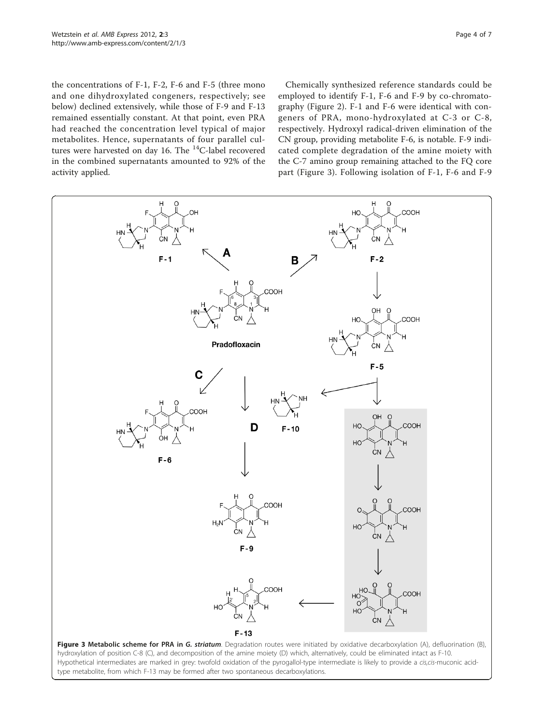<span id="page-3-0"></span>the concentrations of F-1, F-2, F-6 and F-5 (three mono and one dihydroxylated congeners, respectively; see below) declined extensively, while those of F-9 and F-13 remained essentially constant. At that point, even PRA had reached the concentration level typical of major metabolites. Hence, supernatants of four parallel cultures were harvested on day 16. The <sup>14</sup>C-label recovered in the combined supernatants amounted to 92% of the activity applied.

Chemically synthesized reference standards could be employed to identify F-1, F-6 and F-9 by co-chromatography (Figure [2](#page-2-0)). F-1 and F-6 were identical with congeners of PRA, mono-hydroxylated at C-3 or C-8, respectively. Hydroxyl radical-driven elimination of the CN group, providing metabolite F-6, is notable. F-9 indicated complete degradation of the amine moiety with the C-7 amino group remaining attached to the FQ core part (Figure 3). Following isolation of F-1, F-6 and F-9

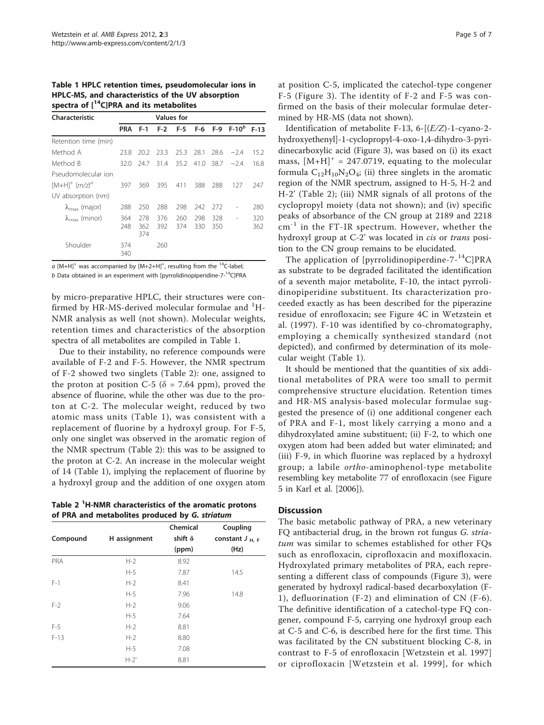Table 1 HPLC retention times, pseudomolecular ions in HPLC-MS, and characteristics of the UV absorption spectra of  $[$ <sup>14</sup>C]PRA and its metabolites

| Characteristic                 | <b>Values</b> for |                   |            |            |            |            |                    |            |
|--------------------------------|-------------------|-------------------|------------|------------|------------|------------|--------------------|------------|
|                                | <b>PRA</b>        | $F-1$             | $F-2$      | $F-5$      |            |            | $F-6$ F-9 $F-10^b$ | $F-13$     |
| Retention time (min)           |                   |                   |            |            |            |            |                    |            |
| Method A                       | 23.8              | 20.2              | 23.3       | 25.3       | 28.1       | 28.6       | $-2.4$             | 15.2       |
| Method B                       | 32.0              | 24.7              | 31.4       | 35.2       | 41.0       | 38.7       | $-2.4$             | 16.8       |
| Pseudomolecular ion            |                   |                   |            |            |            |            |                    |            |
| $[M+H]^{+}$ $(m/z)^{a}$        | 397               | 369               | 395        | 411        | 388        | 288        | 127                | 247        |
| UV absorption (nm)             |                   |                   |            |            |            |            |                    |            |
| $\lambda_{\text{max}}$ (major) | 288               | 250               | 288        | 298        | 242        | 272        |                    | 280        |
| $\lambda_{\text{max}}$ (minor) | 364<br>248        | 278<br>362<br>374 | 376<br>392 | 260<br>374 | 298<br>330 | 328<br>350 |                    | 320<br>362 |
| Shoulder                       | 374<br>340        |                   | 260        |            |            |            |                    |            |

a  $[M+H]^+$  was accompanied by  $[M+2+H]^+$ , resulting from the  $^{14}$ C-label; b Data obtained in an experiment with [pyrrolidinopiperidine- $7^{-14}$ C]PRA

by micro-preparative HPLC, their structures were confirmed by HR-MS-derived molecular formulae and <sup>1</sup>H-NMR analysis as well (not shown). Molecular weights, retention times and characteristics of the absorption spectra of all metabolites are compiled in Table 1.

Due to their instability, no reference compounds were available of F-2 and F-5. However, the NMR spectrum of F-2 showed two singlets (Table 2): one, assigned to the proton at position C-5 ( $\delta$  = 7.64 ppm), proved the absence of fluorine, while the other was due to the proton at C-2. The molecular weight, reduced by two atomic mass units (Table 1), was consistent with a replacement of fluorine by a hydroxyl group. For F-5, only one singlet was observed in the aromatic region of the NMR spectrum (Table 2): this was to be assigned to the proton at C-2. An increase in the molecular weight of 14 (Table 1), implying the replacement of fluorine by a hydroxyl group and the addition of one oxygen atom

Table 2 <sup>1</sup>H-NMR characteristics of the aromatic protons of PRA and metabolites produced by G. striatum

|          |              | Chemical       | Coupling           |
|----------|--------------|----------------|--------------------|
| Compound | H assignment | shift $\delta$ | constant $J_{H,F}$ |
|          |              | (ppm)          | (Hz)               |
| PRA      | $H-2$        | 8.92           |                    |
|          | $H-5$        | 7.87           | 14.5               |
| $F-1$    | $H-2$        | 8.41           |                    |
|          | $H-5$        | 7.96           | 14.8               |
| $F-2$    | $H-2$        | 9.06           |                    |
|          | $H-5$        | 7.64           |                    |
| $F-5$    | $H-2$        | 8.81           |                    |
| $F-13$   | $H-2$        | 8.80           |                    |
|          | $H-5$        | 7.08           |                    |
|          | $H-2'$       | 8.81           |                    |

at position C-5, implicated the catechol-type congener F-5 (Figure [3](#page-3-0)). The identity of F-2 and F-5 was confirmed on the basis of their molecular formulae determined by HR-MS (data not shown).

Identification of metabolite F-13, 6-[(E/Z)-1-cyano-2 hydroxyethenyl]-1-cyclopropyl-4-oxo-1,4-dihydro-3-pyridinecarboxylic acid (Figure [3\)](#page-3-0), was based on (i) its exact mass,  $[M+H]^{+} = 247.0719$ , equating to the molecular formula  $C_{12}H_{10}N_2O_4$ ; (ii) three singlets in the aromatic region of the NMR spectrum, assigned to H-5, H-2 and H-2' (Table 2); (iii) NMR signals of all protons of the cyclopropyl moiety (data not shown); and (iv) specific peaks of absorbance of the CN group at 2189 and 2218  $cm^{-1}$  in the FT-IR spectrum. However, whether the hydroxyl group at C-2' was located in cis or trans position to the CN group remains to be elucidated.

The application of [pyrrolidinopiperdine-7-14C]PRA as substrate to be degraded facilitated the identification of a seventh major metabolite, F-10, the intact pyrrolidinopiperidine substituent. Its characterization proceeded exactly as has been described for the piperazine residue of enrofloxacin; see Figure 4C in [Wetzstein et](#page-6-0) [al. \(1997\).](#page-6-0) F-10 was identified by co-chromatography, employing a chemically synthesized standard (not depicted), and confirmed by determination of its molecular weight (Table 1).

It should be mentioned that the quantities of six additional metabolites of PRA were too small to permit comprehensive structure elucidation. Retention times and HR-MS analysis-based molecular formulae suggested the presence of (i) one additional congener each of PRA and F-1, most likely carrying a mono and a dihydroxylated amine substituent; (ii) F-2, to which one oxygen atom had been added but water eliminated; and (iii) F-9, in which fluorine was replaced by a hydroxyl group; a labile ortho-aminophenol-type metabolite resembling key metabolite 77 of enrofloxacin (see Figure 5 in [Karl et al. \[2006\]](#page-6-0)).

# **Discussion**

The basic metabolic pathway of PRA, a new veterinary FQ antibacterial drug, in the brown rot fungus G. striatum was similar to schemes established for other FOs such as enrofloxacin, ciprofloxacin and moxifloxacin. Hydroxylated primary metabolites of PRA, each representing a different class of compounds (Figure [3](#page-3-0)), were generated by hydroxyl radical-based decarboxylation (F-1), defluorination (F-2) and elimination of CN (F-6). The definitive identification of a catechol-type FQ congener, compound F-5, carrying one hydroxyl group each at C-5 and C-6, is described here for the first time. This was facilitated by the CN substituent blocking C-8, in contrast to F-5 of enrofloxacin [\[Wetzstein et al. 1997](#page-6-0)] or ciprofloxacin [[Wetzstein et al. 1999](#page-6-0)], for which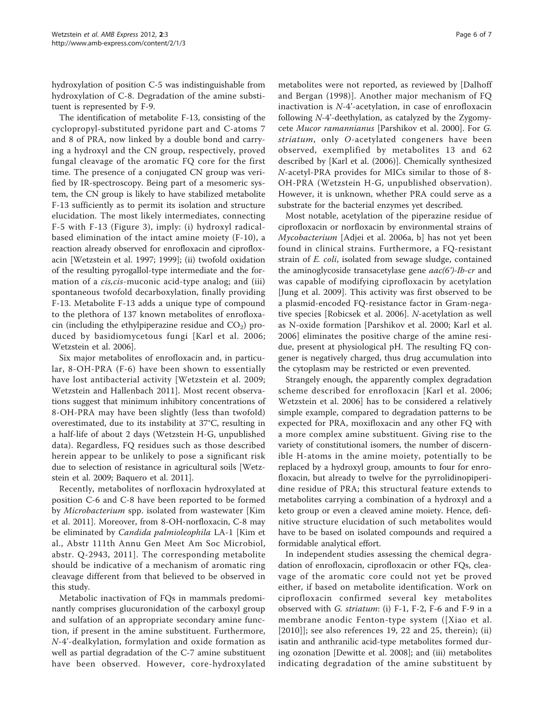hydroxylation of position C-5 was indistinguishable from hydroxylation of C-8. Degradation of the amine substituent is represented by F-9.

The identification of metabolite F-13, consisting of the cyclopropyl-substituted pyridone part and C-atoms 7 and 8 of PRA, now linked by a double bond and carrying a hydroxyl and the CN group, respectively, proved fungal cleavage of the aromatic FQ core for the first time. The presence of a conjugated CN group was verified by IR-spectroscopy. Being part of a mesomeric system, the CN group is likely to have stabilized metabolite F-13 sufficiently as to permit its isolation and structure elucidation. The most likely intermediates, connecting F-5 with F-13 (Figure [3\)](#page-3-0), imply: (i) hydroxyl radicalbased elimination of the intact amine moiety (F-10), a reaction already observed for enrofloxacin and ciprofloxacin [\[Wetzstein et al. 1997](#page-6-0); [1999\]](#page-6-0); (ii) twofold oxidation of the resulting pyrogallol-type intermediate and the formation of a *cis,cis-muconic* acid-type analog; and (iii) spontaneous twofold decarboxylation, finally providing F-13. Metabolite F-13 adds a unique type of compound to the plethora of 137 known metabolites of enrofloxacin (including the ethylpiperazine residue and  $CO<sub>2</sub>$ ) produced by basidiomycetous fungi [[Karl et al. 2006](#page-6-0); [Wetzstein et al. 2006](#page-6-0)].

Six major metabolites of enrofloxacin and, in particular, 8-OH-PRA (F-6) have been shown to essentially have lost antibacterial activity [[Wetzstein et al. 2009](#page-6-0); [Wetzstein and Hallenbach 2011\]](#page-6-0). Most recent observations suggest that minimum inhibitory concentrations of 8-OH-PRA may have been slightly (less than twofold) overestimated, due to its instability at 37°C, resulting in a half-life of about 2 days (Wetzstein H-G, unpublished data). Regardless, FQ residues such as those described herein appear to be unlikely to pose a significant risk due to selection of resistance in agricultural soils [\[Wetz](#page-6-0)[stein et al. 2009; Baquero et al. 2011\]](#page-6-0).

Recently, metabolites of norfloxacin hydroxylated at position C-6 and C-8 have been reported to be formed by Microbacterium spp. isolated from wastewater [[Kim](#page-6-0) [et al. 2011](#page-6-0)]. Moreover, from 8-OH-norfloxacin, C-8 may be eliminated by Candida palmioleophila LA-1 [[Kim et](#page-6-0) [al., Abstr 111th Annu Gen Meet Am Soc Microbiol,](#page-6-0) [abstr. Q-2943, 2011\]](#page-6-0). The corresponding metabolite should be indicative of a mechanism of aromatic ring cleavage different from that believed to be observed in this study.

Metabolic inactivation of FQs in mammals predominantly comprises glucuronidation of the carboxyl group and sulfation of an appropriate secondary amine function, if present in the amine substituent. Furthermore, N-4'-dealkylation, formylation and oxide formation as well as partial degradation of the C-7 amine substituent have been observed. However, core-hydroxylated

metabolites were not reported, as reviewed by [[Dalhoff](#page-6-0) [and Bergan \(1998\)\]](#page-6-0). Another major mechanism of FQ inactivation is N-4'-acetylation, in case of enrofloxacin following N-4'-deethylation, as catalyzed by the Zygomycete Mucor ramannianus [[Parshikov et al. 2000](#page-6-0)]. For G. striatum, only O-acetylated congeners have been observed, exemplified by metabolites 13 and 62 described by [\[Karl et al. \(2006\)\]](#page-6-0). Chemically synthesized N-acetyl-PRA provides for MICs similar to those of 8- OH-PRA (Wetzstein H-G, unpublished observation). However, it is unknown, whether PRA could serve as a substrate for the bacterial enzymes yet described.

Most notable, acetylation of the piperazine residue of ciprofloxacin or norfloxacin by environmental strains of Mycobacterium [\[Adjei et al. 2006a, b\]](#page-6-0) has not yet been found in clinical strains. Furthermore, a FQ-resistant strain of E. coli, isolated from sewage sludge, contained the aminoglycoside transacetylase gene aac(6')-Ib-cr and was capable of modifying ciprofloxacin by acetylation [[Jung et al. 2009](#page-6-0)]. This activity was first observed to be a plasmid-encoded FQ-resistance factor in Gram-negative species [[Robicsek et al. 2006\]](#page-6-0). N-acetylation as well as N-oxide formation [\[Parshikov et al. 2000](#page-6-0); [Karl et al.](#page-6-0) [2006\]](#page-6-0) eliminates the positive charge of the amine residue, present at physiological pH. The resulting FQ congener is negatively charged, thus drug accumulation into the cytoplasm may be restricted or even prevented.

Strangely enough, the apparently complex degradation scheme described for enrofloxacin [[Karl et al. 2006](#page-6-0); [Wetzstein et al. 2006\]](#page-6-0) has to be considered a relatively simple example, compared to degradation patterns to be expected for PRA, moxifloxacin and any other FQ with a more complex amine substituent. Giving rise to the variety of constitutional isomers, the number of discernible H-atoms in the amine moiety, potentially to be replaced by a hydroxyl group, amounts to four for enrofloxacin, but already to twelve for the pyrrolidinopiperidine residue of PRA; this structural feature extends to metabolites carrying a combination of a hydroxyl and a keto group or even a cleaved amine moiety. Hence, definitive structure elucidation of such metabolites would have to be based on isolated compounds and required a formidable analytical effort.

In independent studies assessing the chemical degradation of enrofloxacin, ciprofloxacin or other FQs, cleavage of the aromatic core could not yet be proved either, if based on metabolite identification. Work on ciprofloxacin confirmed several key metabolites observed with G. striatum: (i) F-1, F-2, F-6 and F-9 in a membrane anodic Fenton-type system ([[Xiao et al.](#page-6-0) [\[2010\]\]](#page-6-0); see also references 19, 22 and 25, therein); (ii) isatin and anthranilic acid-type metabolites formed during ozonation [\[Dewitte et al. 2008\]](#page-6-0); and (iii) metabolites indicating degradation of the amine substituent by